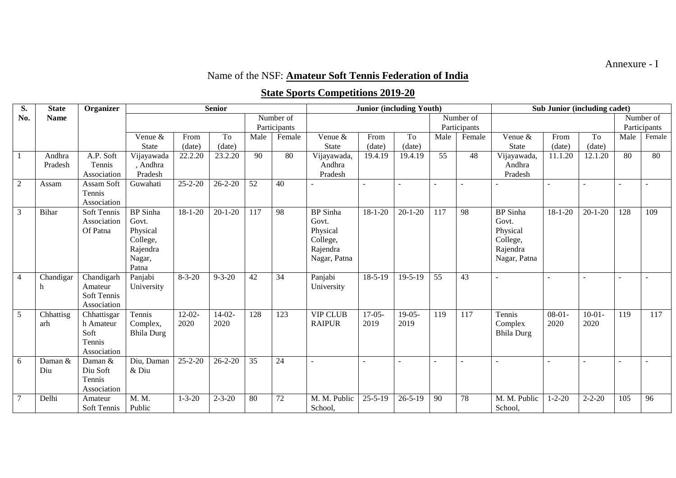Annexure - I

## Name of the NSF: **Amateur Soft Tennis Federation of India**

## **State Sports Competitions 2019-20**

| S.             | <b>State</b> | Organizer              |                   |                          | <b>Senior</b>         |                 |                 |                            | <b>Junior (including Youth)</b> |               |                 | Sub Junior (including cadet) |                   |               |               |              |        |
|----------------|--------------|------------------------|-------------------|--------------------------|-----------------------|-----------------|-----------------|----------------------------|---------------------------------|---------------|-----------------|------------------------------|-------------------|---------------|---------------|--------------|--------|
| No.            | <b>Name</b>  |                        |                   |                          |                       | Number of       |                 |                            |                                 |               | Number of       |                              |                   |               |               | Number of    |        |
|                |              |                        |                   |                          |                       | Participants    |                 |                            |                                 |               | Participants    |                              |                   |               |               | Participants |        |
|                |              |                        | Venue &           | From                     | To                    | Male            | Female          | Venue &                    | From                            | To            | Male            | Female                       | Venue &           | From          | To            | Male         | Female |
|                |              |                        | <b>State</b>      | (date)                   | (date)                |                 |                 | <b>State</b>               | (date)                          | (date)        |                 |                              | <b>State</b>      | (date)        | (date)        |              |        |
| $\mathbf{1}$   | Andhra       | A.P. Soft              | Vijayawada        | 22.2.20                  | 23.2.20               | 90              | 80              | Vijayawada,                | 19.4.19                         | 19.4.19       | 55              | 48                           | Vijayawada,       | 11.1.20       | 12.1.20       | 80           | 80     |
|                | Pradesh      | Tennis                 | , Andhra          |                          |                       |                 |                 | Andhra                     |                                 |               |                 |                              | Andhra            |               |               |              |        |
|                |              | Association            | Pradesh           |                          |                       |                 |                 | Pradesh                    |                                 |               |                 |                              | Pradesh           |               |               |              |        |
| $\overline{2}$ | Assam        | Assam Soft             | Guwahati          | $25 - 2 - 20$            | $26 - 2 - 20$         | $\overline{52}$ | 40              |                            |                                 |               | $\overline{a}$  |                              |                   |               |               |              |        |
|                |              | Tennis                 |                   |                          |                       |                 |                 |                            |                                 |               |                 |                              |                   |               |               |              |        |
|                |              | Association            |                   |                          |                       |                 |                 |                            |                                 |               |                 |                              |                   |               |               |              |        |
| $\mathfrak{Z}$ | <b>Bihar</b> | Soft Tennis            | <b>BP</b> Sinha   | $18 - 1 - 20$            | $20 - 1 - 20$         | 117             | 98              | <b>BP</b> Sinha            | $18 - 1 - 20$                   | $20 - 1 - 20$ | 117             | 98                           | <b>BP</b> Sinha   | $18 - 1 - 20$ | $20 - 1 - 20$ | 128          | 109    |
|                |              | Association            | Govt.             |                          |                       |                 |                 | Govt.                      |                                 |               |                 |                              | Govt.             |               |               |              |        |
|                |              | Of Patna               | Physical          |                          |                       |                 |                 | Physical                   |                                 |               |                 |                              | Physical          |               |               |              |        |
|                |              |                        | College,          |                          |                       |                 |                 | College,                   |                                 |               |                 |                              | College,          |               |               |              |        |
|                |              |                        | Rajendra          |                          |                       |                 |                 | Rajendra                   |                                 |               |                 |                              | Rajendra          |               |               |              |        |
|                |              |                        | Nagar,            |                          |                       |                 |                 | Nagar, Patna               |                                 |               |                 |                              | Nagar, Patna      |               |               |              |        |
|                |              |                        | Patna             |                          |                       |                 |                 |                            |                                 |               |                 |                              |                   |               |               |              |        |
| $\overline{4}$ | Chandigar    | Chandigarh             | Panjabi           | $8 - 3 - 20$             | $9 - 3 - 20$          | 42              | $\overline{34}$ | Panjabi                    | $18-5-19$                       | $19 - 5 - 19$ | $\overline{55}$ | 43                           |                   |               |               |              |        |
|                | h            | Amateur<br>Soft Tennis | University        |                          |                       |                 |                 | University                 |                                 |               |                 |                              |                   |               |               |              |        |
|                |              | Association            |                   |                          |                       |                 |                 |                            |                                 |               |                 |                              |                   |               |               |              |        |
| 5              | Chhattisg    | Chhattisgar            | Tennis            | $12 - 02 -$              | $14-02-$              | 128             | 123             | <b>VIP CLUB</b>            | $17-05-$                        | $19-05-$      | 119             | 117                          | Tennis            | $08-01-$      | $10-01-$      | 119          | 117    |
|                | arh          | h Amateur              | Complex,          | 2020                     | 2020                  |                 |                 | <b>RAIPUR</b>              | 2019                            | 2019          |                 |                              | Complex           | 2020          | 2020          |              |        |
|                |              | Soft                   | <b>Bhila Durg</b> |                          |                       |                 |                 |                            |                                 |               |                 |                              | <b>Bhila Durg</b> |               |               |              |        |
|                |              | Tennis                 |                   |                          |                       |                 |                 |                            |                                 |               |                 |                              |                   |               |               |              |        |
|                |              | Association            |                   |                          |                       |                 |                 |                            |                                 |               |                 |                              |                   |               |               |              |        |
| 6              | Daman &      | Daman &                | Diu, Daman        | $\overline{25} - 2 - 20$ | $\overline{26}$ -2-20 | 35              | 24              |                            |                                 |               | $\blacksquare$  |                              |                   |               |               |              |        |
|                | Diu          | Diu Soft               | & Diu             |                          |                       |                 |                 |                            |                                 |               |                 |                              |                   |               |               |              |        |
|                |              | Tennis                 |                   |                          |                       |                 |                 |                            |                                 |               |                 |                              |                   |               |               |              |        |
|                |              | Association            |                   |                          |                       |                 |                 |                            |                                 |               |                 |                              |                   |               |               |              |        |
| $\tau$         | Delhi        | Amateur                | M. M.             | $1 - 3 - 20$             | $2 - 3 - 20$          | 80              | 72              | $\overline{M}$ . M. Public | $25 - 5 - 19$                   | $26 - 5 - 19$ | 90              | 78                           | M. M. Public      | $1 - 2 - 20$  | $2 - 2 - 20$  | 105          | 96     |
|                |              | Soft Tennis            | Public            |                          |                       |                 |                 | School,                    |                                 |               |                 |                              | School,           |               |               |              |        |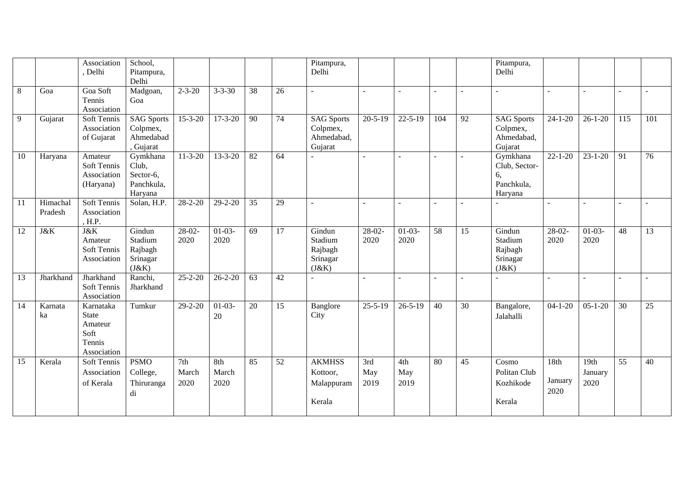|                 |                     | Association                                                           | School,                                                 |                      |                      |    |                 | Pitampura,                                             |                    |                    |                 |                 | Pitampura,                                               |                         |                         |     |                 |
|-----------------|---------------------|-----------------------------------------------------------------------|---------------------------------------------------------|----------------------|----------------------|----|-----------------|--------------------------------------------------------|--------------------|--------------------|-----------------|-----------------|----------------------------------------------------------|-------------------------|-------------------------|-----|-----------------|
|                 |                     | , Delhi                                                               | Pitampura,<br>Delhi                                     |                      |                      |    |                 | Delhi                                                  |                    |                    |                 |                 | Delhi                                                    |                         |                         |     |                 |
| 8               | Goa                 | Goa Soft<br>Tennis<br>Association                                     | Madgoan,<br>Goa                                         | $2 - 3 - 20$         | $3 - 3 - 30$         | 38 | 26              | ÷.                                                     |                    |                    | $\sim$          |                 |                                                          |                         |                         |     |                 |
| 9               | Gujarat             | Soft Tennis<br>Association<br>of Gujarat                              | <b>SAG Sports</b><br>Colpmex,<br>Ahmedabad<br>, Gujarat | $15 - 3 - 20$        | $17 - 3 - 20$        | 90 | 74              | <b>SAG Sports</b><br>Colpmex,<br>Ahmedabad,<br>Gujarat | $20 - 5 - 19$      | $22 - 5 - 19$      | 104             | 92              | <b>SAG Sports</b><br>Colpmex,<br>Ahmedabad,<br>Gujarat   | $24 - 1 - 20$           | $26 - 1 - 20$           | 115 | 101             |
| 10              | Haryana             | Amateur<br>Soft Tennis<br>Association<br>(Haryana)                    | Gymkhana<br>Club,<br>Sector-6,<br>Panchkula,<br>Haryana | $11 - 3 - 20$        | $13 - 3 - 20$        | 82 | 64              |                                                        |                    | $\sim$             | ÷.              | $\overline{a}$  | Gymkhana<br>Club, Sector-<br>6,<br>Panchkula,<br>Haryana | $22 - 1 - 20$           | $23 - 1 - 20$           | 91  | 76              |
| 11              | Himachal<br>Pradesh | Soft Tennis<br>Association<br>, H.P.                                  | Solan, H.P.                                             | $28 - 2 - 20$        | $29 - 2 - 20$        | 35 | 29              | $\overline{a}$                                         |                    |                    |                 |                 |                                                          | $\sim$                  |                         |     |                 |
| $\overline{12}$ | J&K                 | J&K<br>Amateur<br>Soft Tennis<br>Association                          | Gindun<br>Stadium<br>Rajbagh<br>Srinagar<br>(J&K)       | $28-02-$<br>2020     | $01-03-$<br>2020     | 69 | $\overline{17}$ | Gindun<br>Stadium<br>Rajbagh<br>Srinagar<br>(J&K)      | $28-02-$<br>2020   | $01-03-$<br>2020   | $\overline{58}$ | $\overline{15}$ | Gindun<br>Stadium<br>Rajbagh<br>Srinagar<br>(J&K)        | $28-02$<br>2020         | $01-03-$<br>2020        | 48  | $\overline{13}$ |
| 13              | Jharkhand           | Jharkhand<br>Soft Tennis<br>Association                               | Ranchi,<br>Jharkhand                                    | $25 - 2 - 20$        | $26 - 2 - 20$        | 63 | 42              | $\overline{a}$                                         |                    |                    | $\overline{a}$  |                 |                                                          |                         |                         |     |                 |
| 14              | Karnata<br>ka       | Karnataka<br><b>State</b><br>Amateur<br>Soft<br>Tennis<br>Association | Tumkur                                                  | $29 - 2 - 20$        | $01-03-$<br>20       | 20 | 15              | Banglore<br>City                                       | $25 - 5 - 19$      | $26 - 5 - 19$      | $\overline{40}$ | 30              | Bangalore,<br>Jalahalli                                  | $04 - 1 - 20$           | $05 - 1 - 20$           | 30  | 25              |
| 15              | Kerala              | Soft Tennis<br>Association<br>of Kerala                               | <b>PSMO</b><br>College,<br>Thiruranga<br>di             | 7th<br>March<br>2020 | 8th<br>March<br>2020 | 85 | 52              | <b>AKMHSS</b><br>Kottoor,<br>Malappuram<br>Kerala      | 3rd<br>May<br>2019 | 4th<br>May<br>2019 | 80              | 45              | Cosmo<br>Politan Club<br>Kozhikode<br>Kerala             | 18th<br>January<br>2020 | 19th<br>January<br>2020 | 55  | 40              |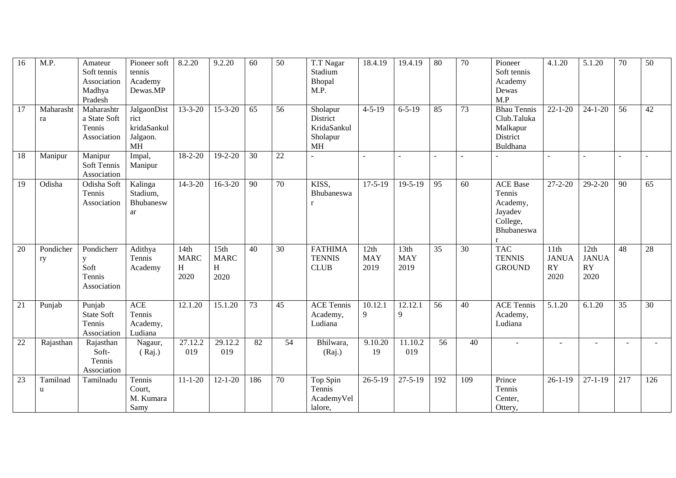| 16              | M.P.            | Amateur<br>Soft tennis<br>Association<br>Madhya<br>Pradesh | Pioneer soft<br>tennis<br>Academy<br>Dewas.MP               | 8.2.20                           | 9.2.20                                       | 60              | $\overline{50}$ | T.T Nagar<br>Stadium<br>Bhopal<br>M.P.                       | 18.4.19                    | 19.4.19                    | $\overline{80}$ | $\overline{70}$ | Pioneer<br>Soft tennis<br>Academy<br>Dewas<br>M.P                                          | 4.1.20                             | 5.1.20                                    | $\overline{70}$ | $\overline{50}$ |
|-----------------|-----------------|------------------------------------------------------------|-------------------------------------------------------------|----------------------------------|----------------------------------------------|-----------------|-----------------|--------------------------------------------------------------|----------------------------|----------------------------|-----------------|-----------------|--------------------------------------------------------------------------------------------|------------------------------------|-------------------------------------------|-----------------|-----------------|
| 17              | Maharasht<br>ra | Maharashtr<br>a State Soft<br>Tennis<br>Association        | JalgaonDist<br>rict<br>kridaSankul<br>Jalgaon.<br><b>MH</b> | $13 - 3 - 20$                    | $15 - 3 - 20$                                | 65              | 56              | Sholapur<br>District<br>KridaSankul<br>Sholapur<br><b>MH</b> | $4 - 5 - 19$               | $6 - 5 - 19$               | 85              | 73              | <b>Bhau Tennis</b><br>Club.Taluka<br>Malkapur<br>District<br>Buldhana                      | $22 - 1 - 20$                      | $24 - 1 - 20$                             | 56              | 42              |
| 18              | Manipur         | Manipur<br>Soft Tennis<br>Association                      | Impal,<br>Manipur                                           | $18 - 2 - 20$                    | $19 - 2 - 20$                                | 30              | 22              |                                                              |                            |                            |                 |                 |                                                                                            |                                    |                                           |                 |                 |
| 19              | Odisha          | Odisha Soft<br>Tennis<br>Association                       | Kalinga<br>Stadium,<br>Bhubanesw<br>ar                      | $14 - 3 - 20$                    | $16 - 3 - 20$                                | 90              | 70              | KISS.<br>Bhubaneswa<br>r                                     | $17 - 5 - 19$              | $19 - 5 - 19$              | $\overline{95}$ | 60              | <b>ACE</b> Base<br>Tennis<br>Academy,<br>Jayadev<br>College,<br>Bhubaneswa<br>$\mathbf{r}$ | $27 - 2 - 20$                      | $29 - 2 - 20$                             | 90              | 65              |
| 20              | Pondicher<br>ry | Pondicherr<br>y<br>Soft<br>Tennis<br>Association           | Adithya<br>Tennis<br>Academy                                | 14th<br><b>MARC</b><br>H<br>2020 | 15 <sub>th</sub><br><b>MARC</b><br>H<br>2020 | 40              | 30              | <b>FATHIMA</b><br><b>TENNIS</b><br><b>CLUB</b>               | 12th<br><b>MAY</b><br>2019 | 13th<br><b>MAY</b><br>2019 | 35              | 30              | <b>TAC</b><br><b>TENNIS</b><br><b>GROUND</b>                                               | 11th<br><b>JANUA</b><br>RY<br>2020 | 12th<br><b>JANUA</b><br><b>RY</b><br>2020 | 48              | 28              |
| 21              | Punjab          | Punjab<br><b>State Soft</b><br>Tennis<br>Association       | <b>ACE</b><br>Tennis<br>Academy,<br>Ludiana                 | 12.1.20                          | $\overline{15.1.20}$                         | 73              | 45              | <b>ACE Tennis</b><br>Academy,<br>Ludiana                     | 10.12.1<br>9               | 12.12.1<br>9               | $\overline{56}$ | $\overline{40}$ | <b>ACE Tennis</b><br>Academy,<br>Ludiana                                                   | 5.1.20                             | 6.1.20                                    | 35              | 30              |
| $\overline{22}$ | Rajasthan       | Rajasthan<br>Soft-<br>Tennis<br>Association                | Nagaur,<br>(Rai.)                                           | $\overline{27.12.2}$<br>019      | 29.12.2<br>019                               | $\overline{82}$ | $\overline{54}$ | Bhilwara,<br>(Raj.)                                          | 9.10.20<br>19              | 11.10.2<br>019             | $\overline{56}$ | $\overline{40}$ |                                                                                            |                                    |                                           | $\sim$          |                 |
| 23              | Tamilnad<br>u   | Tamilnadu                                                  | Tennis<br>Court,<br>M. Kumara<br>Samy                       | $11 - 1 - 20$                    | $12 - 1 - 20$                                | 186             | 70              | Top Spin<br>Tennis<br>AcademyVel<br>lalore,                  | $26 - 5 - 19$              | $27 - 5 - 19$              | 192             | 109             | Prince<br>Tennis<br>Center,<br>Ottery,                                                     | $26-1-19$                          | $27 - 1 - 19$                             | 217             | 126             |